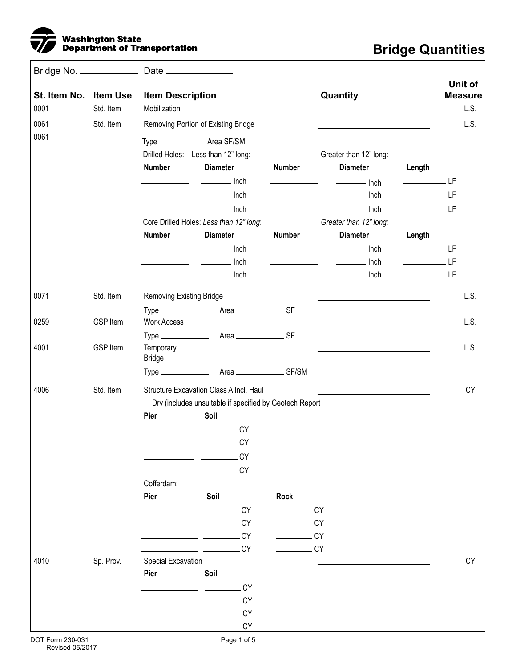

## **Bridge Quantities**

| St. Item No. Item Use<br>0001 | Std. Item       | <b>Item Description</b><br>Mobilization                                                                                |                                                                                                        |                                                                                                                                                                                                                                                                                         | Quantity                                                                                                                                                                                                                                                                                                                                                                                                                                                                               |                                                                                                                                                                                                                                                                                                                                                                                                                                                                                                                                                                                                                                                                           | Unit of<br><b>Measure</b><br>L.S. |
|-------------------------------|-----------------|------------------------------------------------------------------------------------------------------------------------|--------------------------------------------------------------------------------------------------------|-----------------------------------------------------------------------------------------------------------------------------------------------------------------------------------------------------------------------------------------------------------------------------------------|----------------------------------------------------------------------------------------------------------------------------------------------------------------------------------------------------------------------------------------------------------------------------------------------------------------------------------------------------------------------------------------------------------------------------------------------------------------------------------------|---------------------------------------------------------------------------------------------------------------------------------------------------------------------------------------------------------------------------------------------------------------------------------------------------------------------------------------------------------------------------------------------------------------------------------------------------------------------------------------------------------------------------------------------------------------------------------------------------------------------------------------------------------------------------|-----------------------------------|
| 0061                          | Std. Item       | Removing Portion of Existing Bridge                                                                                    |                                                                                                        |                                                                                                                                                                                                                                                                                         |                                                                                                                                                                                                                                                                                                                                                                                                                                                                                        |                                                                                                                                                                                                                                                                                                                                                                                                                                                                                                                                                                                                                                                                           | L.S.                              |
| 0061                          |                 | Drilled Holes: Less than 12" long:<br><b>Number</b>                                                                    | <b>Diameter</b>                                                                                        | <b>Number</b>                                                                                                                                                                                                                                                                           | Greater than 12" long:<br><b>Diameter</b><br>$\overline{\phantom{a}}$ Inch                                                                                                                                                                                                                                                                                                                                                                                                             | Length<br>______________LF                                                                                                                                                                                                                                                                                                                                                                                                                                                                                                                                                                                                                                                |                                   |
|                               |                 |                                                                                                                        |                                                                                                        | the control of the control of the<br><u>and the state of the state of the state of the state of the state of the state of the state of the state of the state of the state of the state of the state of the state of the state of the state of the state of the state</u>               | $\frac{1}{2}$ Inch<br>$\frac{1}{2}$ Inch                                                                                                                                                                                                                                                                                                                                                                                                                                               | $\rule{1em}{0.15mm}$ $\lbrack$ $\lbrack$ $\lbrack$ $\lbrack$ $\lbrack$ $\lbrack$ $\lbrack$ $\lbrack$ $\lbrack$ $\lbrack$ $\lbrack$ $\lbrack$ $\lbrack$ $\lbrack$ $\lbrack$ $\lbrack$ $\lbrack$ $\lbrack$ $\lbrack$ $\lbrack$ $\lbrack$ $\lbrack$ $\lbrack$ $\lbrack$ $\lbrack$ $\lbrack$ $\lbrack$ $\lbrack$ $\lbrack$ $\l$<br>$\rule{1em}{0.15mm}$ $\qquad$ $\qquad$ $\qquad$ $\qquad$ $\qquad$ $\qquad$ $\qquad$ $\qquad$ $\qquad$ $\qquad$ $\qquad$ $\qquad$ $\qquad$ $\qquad$ $\qquad$ $\qquad$ $\qquad$ $\qquad$ $\qquad$ $\qquad$ $\qquad$ $\qquad$ $\qquad$ $\qquad$ $\qquad$ $\qquad$ $\qquad$ $\qquad$ $\qquad$ $\qquad$ $\qquad$ $\qquad$ $\qquad$ $\qquad$ $\$ |                                   |
|                               |                 | <b>Number</b>                                                                                                          | Core Drilled Holes: Less than 12" long:<br><b>Diameter</b>                                             | <b>Number</b>                                                                                                                                                                                                                                                                           | Greater than 12" long:<br><b>Diameter</b>                                                                                                                                                                                                                                                                                                                                                                                                                                              | Length                                                                                                                                                                                                                                                                                                                                                                                                                                                                                                                                                                                                                                                                    |                                   |
|                               |                 | <u> 1990 - Jan Alexandria (</u>                                                                                        | Inch<br>$\frac{1}{\sqrt{1-\frac{1}{2}}\left(1-\frac{1}{2}\right)}\left(\frac{1}{2}-\frac{1}{2}\right)$ | <u> Albanya di Bandar Bandar Bandar Bandar Bandar Bandar Bandar Bandar Bandar Bandar Bandar Bandar Bandar Bandar Bandar Bandar Bandar Bandar Bandar Bandar Bandar Bandar Bandar Bandar Bandar Bandar Bandar Bandar Bandar Bandar</u><br><u> 1990 - Jan Barnett, francuski politik (</u> | $\frac{1}{\sqrt{1-\frac{1}{2}}\sqrt{1-\frac{1}{2}}\sqrt{1-\frac{1}{2}}\sqrt{1-\frac{1}{2}}\sqrt{1-\frac{1}{2}}\sqrt{1-\frac{1}{2}}\sqrt{1-\frac{1}{2}}\sqrt{1-\frac{1}{2}}\sqrt{1-\frac{1}{2}}\sqrt{1-\frac{1}{2}}\sqrt{1-\frac{1}{2}}\sqrt{1-\frac{1}{2}}\sqrt{1-\frac{1}{2}}\sqrt{1-\frac{1}{2}}\sqrt{1-\frac{1}{2}}\sqrt{1-\frac{1}{2}}\sqrt{1-\frac{1}{2}}\sqrt{1-\frac{1}{2}}\sqrt{1-\frac{1}{2}}\sqrt{1-\frac$<br>Inch<br>$\frac{1}{2}$ . The set of $\mathcal{O}(\mathbb{R}^d)$ | $\rule{1em}{0.15mm}$ $\lbrack$ $\lbrack$ $\lbrack$ $\lbrack$ $\lbrack$ $\lbrack$ $\lbrack$ $\lbrack$ $\lbrack$ $\lbrack$ $\lbrack$ $\lbrack$ $\lbrack$ $\lbrack$ $\lbrack$ $\lbrack$ $\lbrack$ $\lbrack$ $\lbrack$ $\lbrack$ $\lbrack$ $\lbrack$ $\lbrack$ $\lbrack$ $\lbrack$ $\lbrack$ $\lbrack$ $\lbrack$ $\lbrack$ $\l$<br>$\rule{1em}{0.15mm}$ $\lrcorner$ $\lrcorner$ $\lrcorner$ $\lrcorner$                                                                                                                                                                                                                                                                       |                                   |
|                               |                 |                                                                                                                        | . Inch                                                                                                 | <u> Alexandria de la c</u>                                                                                                                                                                                                                                                              | $\frac{1}{2}$ Inch                                                                                                                                                                                                                                                                                                                                                                                                                                                                     | $\rule{1em}{0.15mm}$ LF                                                                                                                                                                                                                                                                                                                                                                                                                                                                                                                                                                                                                                                   |                                   |
| 0071                          | Std. Item       | <b>Removing Existing Bridge</b>                                                                                        |                                                                                                        |                                                                                                                                                                                                                                                                                         |                                                                                                                                                                                                                                                                                                                                                                                                                                                                                        |                                                                                                                                                                                                                                                                                                                                                                                                                                                                                                                                                                                                                                                                           | L.S.                              |
| 0259                          | <b>GSP Item</b> | <b>Work Access</b>                                                                                                     |                                                                                                        |                                                                                                                                                                                                                                                                                         |                                                                                                                                                                                                                                                                                                                                                                                                                                                                                        |                                                                                                                                                                                                                                                                                                                                                                                                                                                                                                                                                                                                                                                                           | L.S.                              |
| 4001                          | <b>GSP Item</b> | Temporary<br><b>Bridge</b>                                                                                             |                                                                                                        |                                                                                                                                                                                                                                                                                         |                                                                                                                                                                                                                                                                                                                                                                                                                                                                                        |                                                                                                                                                                                                                                                                                                                                                                                                                                                                                                                                                                                                                                                                           | L.S.                              |
|                               |                 |                                                                                                                        |                                                                                                        |                                                                                                                                                                                                                                                                                         |                                                                                                                                                                                                                                                                                                                                                                                                                                                                                        |                                                                                                                                                                                                                                                                                                                                                                                                                                                                                                                                                                                                                                                                           |                                   |
| 4006                          | Std. Item       |                                                                                                                        | Structure Excavation Class A Incl. Haul                                                                |                                                                                                                                                                                                                                                                                         |                                                                                                                                                                                                                                                                                                                                                                                                                                                                                        |                                                                                                                                                                                                                                                                                                                                                                                                                                                                                                                                                                                                                                                                           | <b>CY</b>                         |
|                               |                 |                                                                                                                        | Dry (includes unsuitable if specified by Geotech Report                                                |                                                                                                                                                                                                                                                                                         |                                                                                                                                                                                                                                                                                                                                                                                                                                                                                        |                                                                                                                                                                                                                                                                                                                                                                                                                                                                                                                                                                                                                                                                           |                                   |
|                               |                 | Pier                                                                                                                   | Soil                                                                                                   |                                                                                                                                                                                                                                                                                         |                                                                                                                                                                                                                                                                                                                                                                                                                                                                                        |                                                                                                                                                                                                                                                                                                                                                                                                                                                                                                                                                                                                                                                                           |                                   |
|                               |                 |                                                                                                                        | __________________________CY                                                                           |                                                                                                                                                                                                                                                                                         |                                                                                                                                                                                                                                                                                                                                                                                                                                                                                        |                                                                                                                                                                                                                                                                                                                                                                                                                                                                                                                                                                                                                                                                           |                                   |
|                               |                 |                                                                                                                        | CY                                                                                                     |                                                                                                                                                                                                                                                                                         |                                                                                                                                                                                                                                                                                                                                                                                                                                                                                        |                                                                                                                                                                                                                                                                                                                                                                                                                                                                                                                                                                                                                                                                           |                                   |
|                               |                 |                                                                                                                        | <b>CY</b>                                                                                              |                                                                                                                                                                                                                                                                                         |                                                                                                                                                                                                                                                                                                                                                                                                                                                                                        |                                                                                                                                                                                                                                                                                                                                                                                                                                                                                                                                                                                                                                                                           |                                   |
|                               |                 |                                                                                                                        | <b>CY</b>                                                                                              |                                                                                                                                                                                                                                                                                         |                                                                                                                                                                                                                                                                                                                                                                                                                                                                                        |                                                                                                                                                                                                                                                                                                                                                                                                                                                                                                                                                                                                                                                                           |                                   |
|                               |                 | Cofferdam:                                                                                                             |                                                                                                        |                                                                                                                                                                                                                                                                                         |                                                                                                                                                                                                                                                                                                                                                                                                                                                                                        |                                                                                                                                                                                                                                                                                                                                                                                                                                                                                                                                                                                                                                                                           |                                   |
|                               |                 | Pier                                                                                                                   | Soil                                                                                                   | <b>Rock</b>                                                                                                                                                                                                                                                                             |                                                                                                                                                                                                                                                                                                                                                                                                                                                                                        |                                                                                                                                                                                                                                                                                                                                                                                                                                                                                                                                                                                                                                                                           |                                   |
|                               |                 |                                                                                                                        | <b>CY</b>                                                                                              |                                                                                                                                                                                                                                                                                         | .CY                                                                                                                                                                                                                                                                                                                                                                                                                                                                                    |                                                                                                                                                                                                                                                                                                                                                                                                                                                                                                                                                                                                                                                                           |                                   |
|                               |                 |                                                                                                                        | <b>CY</b>                                                                                              | <u>and the state</u>                                                                                                                                                                                                                                                                    | .CY                                                                                                                                                                                                                                                                                                                                                                                                                                                                                    |                                                                                                                                                                                                                                                                                                                                                                                                                                                                                                                                                                                                                                                                           |                                   |
|                               |                 | <u> 1990 - Johann John Harry Barn, mars and de Branch and de Branch and de Branch and de Branch and de Branch and </u> |                                                                                                        |                                                                                                                                                                                                                                                                                         |                                                                                                                                                                                                                                                                                                                                                                                                                                                                                        |                                                                                                                                                                                                                                                                                                                                                                                                                                                                                                                                                                                                                                                                           |                                   |
|                               |                 |                                                                                                                        | <b>CY</b>                                                                                              | $\label{eq:2} \mathcal{L} = \left\{ \begin{array}{ll} \mathcal{L}^{\text{max}}_{\text{max}} & \mathcal{L}^{\text{max}}_{\text{max}} \\ \mathcal{L}^{\text{max}}_{\text{max}} & \mathcal{L}^{\text{max}}_{\text{max}} \end{array} \right.$                                               | .CY                                                                                                                                                                                                                                                                                                                                                                                                                                                                                    |                                                                                                                                                                                                                                                                                                                                                                                                                                                                                                                                                                                                                                                                           |                                   |
|                               |                 |                                                                                                                        | <b>CY</b>                                                                                              |                                                                                                                                                                                                                                                                                         | CY                                                                                                                                                                                                                                                                                                                                                                                                                                                                                     |                                                                                                                                                                                                                                                                                                                                                                                                                                                                                                                                                                                                                                                                           |                                   |
| 4010                          | Sp. Prov.       | Special Excavation                                                                                                     |                                                                                                        |                                                                                                                                                                                                                                                                                         |                                                                                                                                                                                                                                                                                                                                                                                                                                                                                        |                                                                                                                                                                                                                                                                                                                                                                                                                                                                                                                                                                                                                                                                           | CY                                |
|                               |                 | Pier                                                                                                                   | Soil                                                                                                   |                                                                                                                                                                                                                                                                                         |                                                                                                                                                                                                                                                                                                                                                                                                                                                                                        |                                                                                                                                                                                                                                                                                                                                                                                                                                                                                                                                                                                                                                                                           |                                   |
|                               |                 |                                                                                                                        | .CY                                                                                                    |                                                                                                                                                                                                                                                                                         |                                                                                                                                                                                                                                                                                                                                                                                                                                                                                        |                                                                                                                                                                                                                                                                                                                                                                                                                                                                                                                                                                                                                                                                           |                                   |
|                               |                 |                                                                                                                        | CY                                                                                                     |                                                                                                                                                                                                                                                                                         |                                                                                                                                                                                                                                                                                                                                                                                                                                                                                        |                                                                                                                                                                                                                                                                                                                                                                                                                                                                                                                                                                                                                                                                           |                                   |
|                               |                 |                                                                                                                        | <b>CY</b>                                                                                              |                                                                                                                                                                                                                                                                                         |                                                                                                                                                                                                                                                                                                                                                                                                                                                                                        |                                                                                                                                                                                                                                                                                                                                                                                                                                                                                                                                                                                                                                                                           |                                   |
|                               |                 |                                                                                                                        | CY                                                                                                     |                                                                                                                                                                                                                                                                                         |                                                                                                                                                                                                                                                                                                                                                                                                                                                                                        |                                                                                                                                                                                                                                                                                                                                                                                                                                                                                                                                                                                                                                                                           |                                   |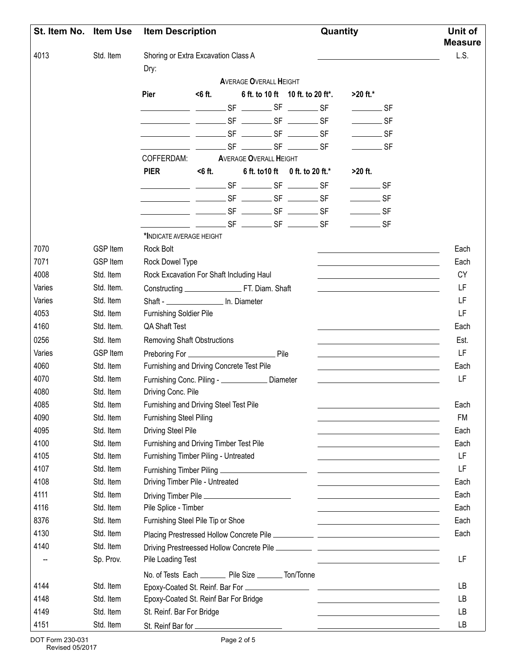| St. Item No. Item Use |                 | <b>Item Description</b>                                   |           |  |                                                                   | Quantity |                                                                                                                                                                                                                                                                                                                                                                                                                                                 |                                                                                                                                                                                                                                      | Unit of<br><b>Measure</b> |
|-----------------------|-----------------|-----------------------------------------------------------|-----------|--|-------------------------------------------------------------------|----------|-------------------------------------------------------------------------------------------------------------------------------------------------------------------------------------------------------------------------------------------------------------------------------------------------------------------------------------------------------------------------------------------------------------------------------------------------|--------------------------------------------------------------------------------------------------------------------------------------------------------------------------------------------------------------------------------------|---------------------------|
| 4013                  | Std. Item       | Shoring or Extra Excavation Class A                       |           |  |                                                                   |          |                                                                                                                                                                                                                                                                                                                                                                                                                                                 |                                                                                                                                                                                                                                      | L.S.                      |
|                       |                 | Dry:                                                      |           |  |                                                                   |          |                                                                                                                                                                                                                                                                                                                                                                                                                                                 |                                                                                                                                                                                                                                      |                           |
|                       |                 | Pier                                                      | $6$ ft.   |  | <b>AVERAGE OVERALL HEIGHT</b><br>6 ft. to 10 ft 10 ft. to 20 ft*. |          | $>20$ ft.*                                                                                                                                                                                                                                                                                                                                                                                                                                      |                                                                                                                                                                                                                                      |                           |
|                       |                 |                                                           |           |  |                                                                   |          |                                                                                                                                                                                                                                                                                                                                                                                                                                                 |                                                                                                                                                                                                                                      |                           |
|                       |                 |                                                           |           |  |                                                                   |          | $\frac{1}{\sqrt{1-\frac{1}{2}}\sqrt{1-\frac{1}{2}}\sqrt{1-\frac{1}{2}}\sqrt{1-\frac{1}{2}}\sqrt{1-\frac{1}{2}}\sqrt{1-\frac{1}{2}}\sqrt{1-\frac{1}{2}}\sqrt{1-\frac{1}{2}}\sqrt{1-\frac{1}{2}}\sqrt{1-\frac{1}{2}}\sqrt{1-\frac{1}{2}}\sqrt{1-\frac{1}{2}}\sqrt{1-\frac{1}{2}}\sqrt{1-\frac{1}{2}}\sqrt{1-\frac{1}{2}}\sqrt{1-\frac{1}{2}}\sqrt{1-\frac{1}{2}}\sqrt{1-\frac{1}{2}}\sqrt{1-\frac{1}{2}}\sqrt{1-\frac$                            |                                                                                                                                                                                                                                      |                           |
|                       |                 | <u>___________</u> __________ SF ________ SF ________ SF  |           |  |                                                                   |          | $\rule{1em}{0.15mm}$ SF                                                                                                                                                                                                                                                                                                                                                                                                                         |                                                                                                                                                                                                                                      |                           |
|                       |                 |                                                           |           |  |                                                                   |          | $\frac{1}{\sqrt{1-\frac{1}{2}}\sqrt{1-\frac{1}{2}}\sqrt{1-\frac{1}{2}}\sqrt{1-\frac{1}{2}}\sqrt{1-\frac{1}{2}}\sqrt{1-\frac{1}{2}}\sqrt{1-\frac{1}{2}}\sqrt{1-\frac{1}{2}}\sqrt{1-\frac{1}{2}}\sqrt{1-\frac{1}{2}}\sqrt{1-\frac{1}{2}}\sqrt{1-\frac{1}{2}}\sqrt{1-\frac{1}{2}}\sqrt{1-\frac{1}{2}}\sqrt{1-\frac{1}{2}}\sqrt{1-\frac{1}{2}}\sqrt{1-\frac{1}{2}}\sqrt{1-\frac{1}{2}}\sqrt{1-\frac{1}{2}}\sqrt{1-\frac$                            |                                                                                                                                                                                                                                      |                           |
|                       |                 | COFFERDAM:                                                |           |  | <b>AVERAGE OVERALL HEIGHT</b>                                     |          | $\overline{\phantom{a}}$ SF                                                                                                                                                                                                                                                                                                                                                                                                                     |                                                                                                                                                                                                                                      |                           |
|                       |                 | <b>PIER</b>                                               | $<$ 6 ft. |  | 6 ft. to 10 ft 0 ft. to 20 ft.*                                   |          | $>20$ ft.                                                                                                                                                                                                                                                                                                                                                                                                                                       |                                                                                                                                                                                                                                      |                           |
|                       |                 |                                                           |           |  |                                                                   |          |                                                                                                                                                                                                                                                                                                                                                                                                                                                 |                                                                                                                                                                                                                                      |                           |
|                       |                 |                                                           |           |  |                                                                   |          | $\rule{1em}{0.15mm}$ SF<br>$\frac{1}{\sqrt{1-\frac{1}{2}}\sqrt{1-\frac{1}{2}}\sqrt{1-\frac{1}{2}}\sqrt{1-\frac{1}{2}}\sqrt{1-\frac{1}{2}}\sqrt{1-\frac{1}{2}}\sqrt{1-\frac{1}{2}}\sqrt{1-\frac{1}{2}}\sqrt{1-\frac{1}{2}}\sqrt{1-\frac{1}{2}}\sqrt{1-\frac{1}{2}}\sqrt{1-\frac{1}{2}}\sqrt{1-\frac{1}{2}}\sqrt{1-\frac{1}{2}}\sqrt{1-\frac{1}{2}}\sqrt{1-\frac{1}{2}}\sqrt{1-\frac{1}{2}}\sqrt{1-\frac{1}{2}}\sqrt{1-\frac{1}{2}}\sqrt{1-\frac$ |                                                                                                                                                                                                                                      |                           |
|                       |                 |                                                           |           |  |                                                                   |          |                                                                                                                                                                                                                                                                                                                                                                                                                                                 |                                                                                                                                                                                                                                      |                           |
|                       |                 |                                                           |           |  |                                                                   |          | $\frac{1}{\sqrt{1-\frac{1}{2}}\sqrt{1-\frac{1}{2}}\sqrt{1-\frac{1}{2}}\sqrt{1-\frac{1}{2}}\sqrt{1-\frac{1}{2}}\sqrt{1-\frac{1}{2}}\sqrt{1-\frac{1}{2}}\sqrt{1-\frac{1}{2}}\sqrt{1-\frac{1}{2}}\sqrt{1-\frac{1}{2}}\sqrt{1-\frac{1}{2}}\sqrt{1-\frac{1}{2}}\sqrt{1-\frac{1}{2}}\sqrt{1-\frac{1}{2}}\sqrt{1-\frac{1}{2}}\sqrt{1-\frac{1}{2}}\sqrt{1-\frac{1}{2}}\sqrt{1-\frac{1}{2}}\sqrt{1-\frac{1}{2}}\sqrt{1-\frac$                            |                                                                                                                                                                                                                                      |                           |
|                       |                 | *INDICATE AVERAGE HEIGHT                                  |           |  |                                                                   |          | $\rule{1em}{0.15mm}$ SF                                                                                                                                                                                                                                                                                                                                                                                                                         |                                                                                                                                                                                                                                      |                           |
| 7070                  | <b>GSP Item</b> | Rock Bolt                                                 |           |  |                                                                   |          |                                                                                                                                                                                                                                                                                                                                                                                                                                                 |                                                                                                                                                                                                                                      | Each                      |
| 7071                  | <b>GSP Item</b> | Rock Dowel Type                                           |           |  |                                                                   |          |                                                                                                                                                                                                                                                                                                                                                                                                                                                 | <u> 1989 - Johann Stein, mars an de Britannich (b. 1989)</u><br><u> 1989 - Johann Barn, mars eta bainar eta baina eta baina eta baina eta baina eta baina eta baina eta baina e</u> ta                                               | Each                      |
| 4008                  | Std. Item       | Rock Excavation For Shaft Including Haul                  |           |  |                                                                   |          |                                                                                                                                                                                                                                                                                                                                                                                                                                                 |                                                                                                                                                                                                                                      | CY                        |
| Varies                | Std. Item.      |                                                           |           |  |                                                                   |          |                                                                                                                                                                                                                                                                                                                                                                                                                                                 | the control of the control of the control of the control of the control of the control of                                                                                                                                            | LF                        |
| Varies                | Std. Item       | Shaft - ____________________ In. Diameter                 |           |  |                                                                   |          |                                                                                                                                                                                                                                                                                                                                                                                                                                                 |                                                                                                                                                                                                                                      | LF                        |
| 4053                  | Std. Item       | <b>Furnishing Soldier Pile</b>                            |           |  |                                                                   |          |                                                                                                                                                                                                                                                                                                                                                                                                                                                 |                                                                                                                                                                                                                                      | LF                        |
| 4160                  | Std. Item.      | <b>QA Shaft Test</b>                                      |           |  |                                                                   |          |                                                                                                                                                                                                                                                                                                                                                                                                                                                 |                                                                                                                                                                                                                                      | Each                      |
| 0256                  | Std. Item       | <b>Removing Shaft Obstructions</b>                        |           |  |                                                                   |          |                                                                                                                                                                                                                                                                                                                                                                                                                                                 | the control of the control of the control of the control of the control of                                                                                                                                                           | Est.                      |
| Varies                | <b>GSP Item</b> |                                                           |           |  |                                                                   |          |                                                                                                                                                                                                                                                                                                                                                                                                                                                 |                                                                                                                                                                                                                                      | LF                        |
| 4060                  | Std. Item       | Furnishing and Driving Concrete Test Pile                 |           |  |                                                                   |          |                                                                                                                                                                                                                                                                                                                                                                                                                                                 | <u> 1989 - Johann Stein, marwolaethau a bhann an t-Amhainn an t-Amhainn an t-Amhainn an t-Amhainn an t-Amhainn an</u>                                                                                                                | Each                      |
| 4070                  | Std. Item       | Furnishing Conc. Piling - ______________ Diameter         |           |  |                                                                   |          |                                                                                                                                                                                                                                                                                                                                                                                                                                                 |                                                                                                                                                                                                                                      | LF                        |
| 4080                  | Std. Item       | Driving Conc. Pile                                        |           |  |                                                                   |          |                                                                                                                                                                                                                                                                                                                                                                                                                                                 |                                                                                                                                                                                                                                      |                           |
| 4085                  | Std. Item       | Furnishing and Driving Steel Test Pile                    |           |  |                                                                   |          |                                                                                                                                                                                                                                                                                                                                                                                                                                                 |                                                                                                                                                                                                                                      | Each                      |
| 4090                  | Std. Item       | <b>Furnishing Steel Piling</b>                            |           |  |                                                                   |          |                                                                                                                                                                                                                                                                                                                                                                                                                                                 |                                                                                                                                                                                                                                      | <b>FM</b>                 |
| 4095                  | Std. Item       | <b>Driving Steel Pile</b>                                 |           |  |                                                                   |          |                                                                                                                                                                                                                                                                                                                                                                                                                                                 | <u> 1989 - Johann Barn, mars et al. (b. 1989)</u><br><u> 1989 - Johann Stoff, Amerikaansk politiker († 1908)</u>                                                                                                                     | Each                      |
| 4100                  | Std. Item       | Furnishing and Driving Timber Test Pile                   |           |  |                                                                   |          |                                                                                                                                                                                                                                                                                                                                                                                                                                                 | <u> 1980 - Johann Barn, mars an t-Amerikaansk politiker (</u>                                                                                                                                                                        | Each                      |
| 4105                  | Std. Item       | Furnishing Timber Piling - Untreated                      |           |  |                                                                   |          |                                                                                                                                                                                                                                                                                                                                                                                                                                                 | <u> 1989 - Johann Stein, marwolaethau a bhann an t-Amhainn an t-Amhainn an t-Amhainn an t-Amhainn an t-Amhainn an</u>                                                                                                                | LF                        |
| 4107                  | Std. Item       |                                                           |           |  |                                                                   |          |                                                                                                                                                                                                                                                                                                                                                                                                                                                 | <u> The Common State of the Common State of the Common State of the Common State of the Common State of the Common State of the Common State of the Common State of the Common State of the Common State of the Common State of </u> | LF                        |
| 4108                  | Std. Item       | Driving Timber Pile - Untreated                           |           |  |                                                                   |          |                                                                                                                                                                                                                                                                                                                                                                                                                                                 |                                                                                                                                                                                                                                      | Each                      |
| 4111                  | Std. Item       | Driving Timber Pile                                       |           |  |                                                                   |          |                                                                                                                                                                                                                                                                                                                                                                                                                                                 | <u> 1989 - Johann Barn, fransk politik amerikansk politik (</u>                                                                                                                                                                      | Each                      |
| 4116                  | Std. Item       | Pile Splice - Timber                                      |           |  |                                                                   |          |                                                                                                                                                                                                                                                                                                                                                                                                                                                 |                                                                                                                                                                                                                                      | Each                      |
| 8376                  | Std. Item       | Furnishing Steel Pile Tip or Shoe                         |           |  |                                                                   |          |                                                                                                                                                                                                                                                                                                                                                                                                                                                 | <u> 1989 - Johann Barn, fransk politik amerikansk politik (</u>                                                                                                                                                                      | Each                      |
| 4130                  | Std. Item       |                                                           |           |  |                                                                   |          |                                                                                                                                                                                                                                                                                                                                                                                                                                                 | <u> Alexandria de la contrada de la contrada de la contrada de la contrada de la contrada de la contrada de la c</u>                                                                                                                 | Each                      |
| 4140                  | Std. Item       |                                                           |           |  |                                                                   |          |                                                                                                                                                                                                                                                                                                                                                                                                                                                 |                                                                                                                                                                                                                                      |                           |
|                       |                 |                                                           |           |  |                                                                   |          |                                                                                                                                                                                                                                                                                                                                                                                                                                                 |                                                                                                                                                                                                                                      | LF                        |
|                       | Sp. Prov.       | Pile Loading Test                                         |           |  |                                                                   |          |                                                                                                                                                                                                                                                                                                                                                                                                                                                 | <u>and the state of the state of the state of the state of the state of the state of the state of the state of the state of the state of the state of the state of the state of the state of the state of the state of the state</u> |                           |
|                       |                 | No. of Tests Each __________ Pile Size ________ Ton/Tonne |           |  |                                                                   |          |                                                                                                                                                                                                                                                                                                                                                                                                                                                 |                                                                                                                                                                                                                                      |                           |
| 4144                  | Std. Item       |                                                           |           |  |                                                                   |          |                                                                                                                                                                                                                                                                                                                                                                                                                                                 |                                                                                                                                                                                                                                      | <b>LB</b>                 |
| 4148                  | Std. Item       | Epoxy-Coated St. Reinf Bar For Bridge                     |           |  |                                                                   |          |                                                                                                                                                                                                                                                                                                                                                                                                                                                 | <u> 1989 - Johann Barn, fransk politik amerikansk politik (</u>                                                                                                                                                                      | LB                        |
| 4149                  | Std. Item       | St. Reinf. Bar For Bridge                                 |           |  |                                                                   |          |                                                                                                                                                                                                                                                                                                                                                                                                                                                 | <u> 1989 - Johann Barn, fransk politik amerikansk politik (</u>                                                                                                                                                                      | LB                        |
| 4151                  | Std. Item       |                                                           |           |  |                                                                   |          |                                                                                                                                                                                                                                                                                                                                                                                                                                                 | the contract of the contract of the contract of the contract of the contract of                                                                                                                                                      | LB                        |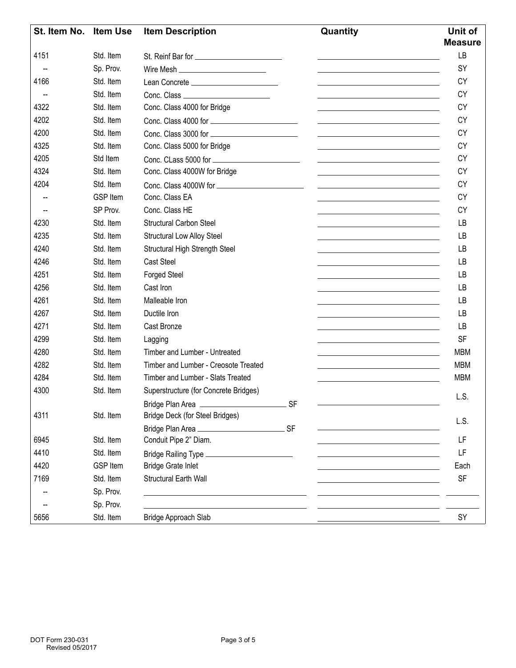| St. Item No. Item Use |                 | <b>Item Description</b><br>Quantity                                                       |     | Unit of<br><b>Measure</b>                                                                                                               |
|-----------------------|-----------------|-------------------------------------------------------------------------------------------|-----|-----------------------------------------------------------------------------------------------------------------------------------------|
| 4151                  | Std. Item       |                                                                                           |     | <b>LB</b><br><u>and the contract of the contract of the contract of the contract of the contract of the contract of the contract of</u> |
|                       | Sp. Prov.       |                                                                                           |     | SY<br><u> 1989 - Andrea Stadt, fransk politiker (d. 1989)</u>                                                                           |
| 4166                  | Std. Item       | Lean Concrete __________________________                                                  |     | CY                                                                                                                                      |
|                       | Std. Item       |                                                                                           |     | <b>CY</b>                                                                                                                               |
| 4322                  | Std. Item       | Conc. Class 4000 for Bridge                                                               |     | <b>CY</b><br>the control of the control of the control of the control of the control of                                                 |
| 4202                  | Std. Item       |                                                                                           |     | <b>CY</b><br>the control of the control of the control of the control of the control of                                                 |
| 4200                  | Std. Item       |                                                                                           |     | <b>CY</b><br><u> 1989 - Johann Stein, mars an deutscher Stein und der Stein und der Stein und der Stein und der Stein und der</u>       |
| 4325                  | Std. Item       | Conc. Class 5000 for Bridge                                                               |     | <b>CY</b>                                                                                                                               |
| 4205                  | Std Item        |                                                                                           |     | <b>CY</b><br><u>and the contract of the contract of the contract of the contract of the contract of the contract of the contract of</u> |
| 4324                  | Std. Item       | Conc. Class 4000W for Bridge                                                              |     | <b>CY</b><br><u> 1989 - Johann Stein, marwolaethau a bhann an t-Amhain an t-Amhain an t-Amhain an t-Amhain an t-Amhain an t-A</u>       |
| 4204                  | Std. Item       |                                                                                           |     | <b>CY</b><br><u> 1989 - Johann Stein, fransk politiker (d. 1989)</u>                                                                    |
|                       | <b>GSP Item</b> | Conc. Class EA                                                                            |     | <b>CY</b>                                                                                                                               |
|                       | SP Prov.        | Conc. Class HE                                                                            |     | <b>CY</b><br>the control of the control of the control of the control of the control of                                                 |
| 4230                  | Std. Item       | <b>Structural Carbon Steel</b>                                                            |     | LB<br><u> 1989 - Johann Stoff, deutscher Stoffen und der Stoffen und der Stoffen und der Stoffen und der Stoffen und der</u>            |
| 4235                  | Std. Item       | <b>Structural Low Alloy Steel</b>                                                         |     | LB<br><u> 1989 - Johann Barn, amerikansk politiker (d. 1989)</u>                                                                        |
| 4240                  | Std. Item       | Structural High Strength Steel                                                            |     | LB                                                                                                                                      |
| 4246                  | Std. Item       | <b>Cast Steel</b>                                                                         |     | <b>LB</b>                                                                                                                               |
| 4251                  | Std. Item       | <b>Forged Steel</b>                                                                       |     | LB<br>the control of the control of the control of the control of the control of the control of                                         |
| 4256                  | Std. Item       | Cast Iron                                                                                 |     | LB<br><u> 1980 - Johann Barbara, martxa alemaniar amerikan a</u>                                                                        |
| 4261                  | Std. Item       | Malleable Iron                                                                            |     | LB<br><u> 1989 - Johann Barn, fransk politik amerikansk politik (</u>                                                                   |
| 4267                  | Std. Item       | Ductile Iron                                                                              |     | LB                                                                                                                                      |
| 4271                  | Std. Item       | Cast Bronze                                                                               |     | <b>LB</b><br><u> 1980 - Johann Barbara, martxa alemaniar arg</u>                                                                        |
| 4299                  | Std. Item       | Lagging                                                                                   |     | <b>SF</b>                                                                                                                               |
| 4280                  | Std. Item       | Timber and Lumber - Untreated                                                             |     | <b>MBM</b><br><u> 1989 - Johann Barn, mars ann an t-Amhain Aonaich an t-Aonaich an t-Aonaich ann an t-Aonaich ann an t-Aonaich</u>      |
| 4282                  | Std. Item       | Timber and Lumber - Creosote Treated                                                      |     | <b>MBM</b><br><u> 1980 - Johann Barn, mars an t-Amerikaansk politiker (</u>                                                             |
| 4284                  | Std. Item       | Timber and Lumber - Slats Treated                                                         |     | <b>MBM</b>                                                                                                                              |
| 4300                  | Std. Item       | Superstructure (for Concrete Bridges)                                                     |     | L.S.                                                                                                                                    |
|                       |                 | Bridge Plan Area                                                                          | .SF |                                                                                                                                         |
| 4311                  | Std. Item       | Bridge Deck (for Steel Bridges)                                                           |     | L.S.                                                                                                                                    |
|                       |                 |                                                                                           |     |                                                                                                                                         |
| 6945                  | Std. Item       | Conduit Pipe 2" Diam.                                                                     |     | LF<br><u> 1980 - Johann Barn, amerikan besteman besteman besteman besteman besteman besteman besteman besteman besteman</u>             |
| 4410                  | Std. Item       |                                                                                           |     | LF<br><u> 1989 - Johann Barn, amerikansk politiker (</u>                                                                                |
| 4420                  | <b>GSP Item</b> | <b>Bridge Grate Inlet</b>                                                                 |     | Each                                                                                                                                    |
| 7169                  | Std. Item       | <b>Structural Earth Wall</b>                                                              |     | <b>SF</b>                                                                                                                               |
|                       | Sp. Prov.       | the control of the control of the control of the control of the control of the control of |     |                                                                                                                                         |
|                       | Sp. Prov.       |                                                                                           |     |                                                                                                                                         |
| 5656                  | Std. Item       | Bridge Approach Slab                                                                      |     | SY                                                                                                                                      |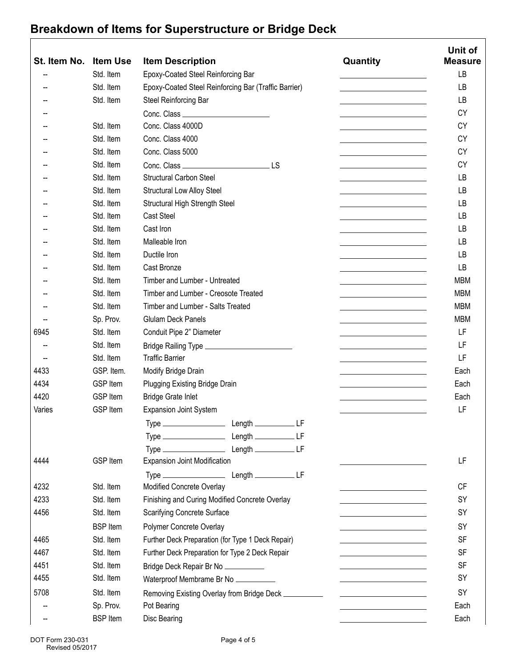## **Breakdown of Items for Superstructure or Bridge Deck**

|              |                              |                                                       |                                                                                                                        | Unit of        |
|--------------|------------------------------|-------------------------------------------------------|------------------------------------------------------------------------------------------------------------------------|----------------|
| St. Item No. | <b>Item Use</b><br>Std. Item | <b>Item Description</b>                               | Quantity                                                                                                               | <b>Measure</b> |
|              |                              | Epoxy-Coated Steel Reinforcing Bar                    | <u> 1980 - John Stein, mars and de Branch and de Branch and de Branch and de Branch and de Branch and de Branch an</u> | LB             |
|              | Std. Item                    | Epoxy-Coated Steel Reinforcing Bar (Traffic Barrier)  | <u> 1989 - Andrea Albert III, politik a postal de la provincia de la provincia de la provincia de la provincia d</u>   | LB             |
|              | Std. Item                    | Steel Reinforcing Bar                                 | and the control of the control of the control of                                                                       | <b>LB</b>      |
|              |                              |                                                       | <u> 1989 - Johann Barn, mars ann an t-Amhain</u>                                                                       | <b>CY</b>      |
|              | Std. Item                    | Conc. Class 4000D                                     |                                                                                                                        | <b>CY</b>      |
|              | Std. Item                    | Conc. Class 4000                                      | <u> 1980 - Johann Barbara, martin a</u>                                                                                | <b>CY</b>      |
|              | Std. Item                    | Conc. Class 5000                                      | <u> 1989 - Johann Barn, mars ann an t-Amhain Aonaich an t-Aonaich an t-Aonaich an t-Aonaich an t-Aonaich ann an t-</u> | <b>CY</b>      |
|              | Std. Item                    |                                                       | <u> 1980 - Johann Barn, mars ann an t-Amhain an t-Amhain an t-Amhain an t-Amhain an t-Amhain an t-Amhain an t-A</u>    | <b>CY</b>      |
|              | Std. Item                    | <b>Structural Carbon Steel</b>                        | <u> 1989 - Johann Barn, amerikansk politiker (</u>                                                                     | LB             |
|              | Std. Item                    | <b>Structural Low Alloy Steel</b>                     | <u> 1989 - Johann Barn, mars ann an t-Amhain Aonaich an t-Aonaich an t-Aonaich an t-Aonaich an t-Aonaich an t-Aon</u>  | LB             |
|              | Std. Item                    | Structural High Strength Steel                        | the control of the control of the control of the                                                                       | LB             |
|              | Std. Item                    | <b>Cast Steel</b>                                     | <u> 1989 - Johann Barn, mars ann an t-Amhain an t-Amhain an t-Amhain an t-Amhain an t-Amhain an t-Amhain an t-Amh</u>  | LB             |
|              | Std. Item                    | Cast Iron                                             | <u> 1980 - Johann Barbara, martxa al</u>                                                                               | LB             |
|              | Std. Item                    | Malleable Iron                                        | <u> 1989 - Johann Barn, mars ann an t-Amhain Aonaich an t-Aonaich an t-Aonaich ann an t-Aonaich ann an t-Aonaich</u>   | LB             |
|              | Std. Item                    | Ductile Iron                                          |                                                                                                                        | LB             |
|              | Std. Item                    | Cast Bronze                                           | the control of the control of the control of the                                                                       | <b>LB</b>      |
|              | Std. Item                    | Timber and Lumber - Untreated                         | <u> 1980 - Johann Barn, mars an t-Amerikaansk ferskeinder (</u>                                                        | <b>MBM</b>     |
|              | Std. Item                    | Timber and Lumber - Creosote Treated                  | <u> 1989 - Johann Barn, mars eta bainar e</u>                                                                          | <b>MBM</b>     |
|              | Std. Item                    | Timber and Lumber - Salts Treated                     | the control of the control of the control of the control of                                                            | <b>MBM</b>     |
|              | Sp. Prov.                    | <b>Glulam Deck Panels</b>                             | the control of the control of the control of                                                                           | <b>MBM</b>     |
| 6945         | Std. Item                    | Conduit Pipe 2" Diameter                              | <u> 1980 - Johann Barn, mars ann an t-Amhain an t-A</u>                                                                | LF             |
|              | Std. Item                    |                                                       |                                                                                                                        | LF             |
|              | Std. Item                    | <b>Traffic Barrier</b>                                | <u> 1989 - Johann Barbara, martxa alemaniar a</u>                                                                      | LF             |
| 4433         | GSP. Item.                   | Modify Bridge Drain                                   | the control of the control of the control of the control of the control of                                             | Each           |
| 4434         | <b>GSP Item</b>              | Plugging Existing Bridge Drain                        | <u> 1989 - Johann Barn, mars ann an t-A</u>                                                                            | Each           |
| 4420         | <b>GSP Item</b>              | <b>Bridge Grate Inlet</b>                             | the control of the control of the control of                                                                           | Each           |
| Varies       | <b>GSP Item</b>              | <b>Expansion Joint System</b>                         |                                                                                                                        | LF             |
|              |                              |                                                       |                                                                                                                        |                |
|              |                              |                                                       |                                                                                                                        |                |
|              |                              |                                                       |                                                                                                                        |                |
| 4444         | <b>GSP Item</b>              | <b>Expansion Joint Modification</b>                   |                                                                                                                        | LF             |
|              |                              |                                                       |                                                                                                                        |                |
| 4232         | Std. Item                    | Modified Concrete Overlay                             | <u> 1989 - Johann Barn, mars ann an t-A</u>                                                                            | CF             |
| 4233         | Std. Item                    | Finishing and Curing Modified Concrete Overlay        |                                                                                                                        | SY             |
| 4456         | Std. Item                    | <b>Scarifying Concrete Surface</b>                    | the control of the control of the control of the control of                                                            | SY             |
|              | <b>BSP</b> Item              | Polymer Concrete Overlay                              | <u> 1980 - Johann Barn, mars ann an t-Amhain an t-A</u>                                                                | SY             |
| 4465         | Std. Item                    | Further Deck Preparation (for Type 1 Deck Repair)     |                                                                                                                        | <b>SF</b>      |
| 4467         | Std. Item                    | Further Deck Preparation for Type 2 Deck Repair       |                                                                                                                        | <b>SF</b>      |
| 4451         | Std. Item                    |                                                       |                                                                                                                        | <b>SF</b>      |
| 4455         | Std. Item                    | Bridge Deck Repair Br No __________                   | <u> 1989 - Johann Barn, mars an t-Amerikaansk kommunister (</u>                                                        | SY             |
|              |                              | Waterproof Membrame Br No                             |                                                                                                                        |                |
| 5708         | Std. Item                    | Removing Existing Overlay from Bridge Deck __________ |                                                                                                                        | SY             |
|              | Sp. Prov.                    | Pot Bearing                                           |                                                                                                                        | Each           |
| --           | <b>BSP</b> Item              | Disc Bearing                                          |                                                                                                                        | Each           |